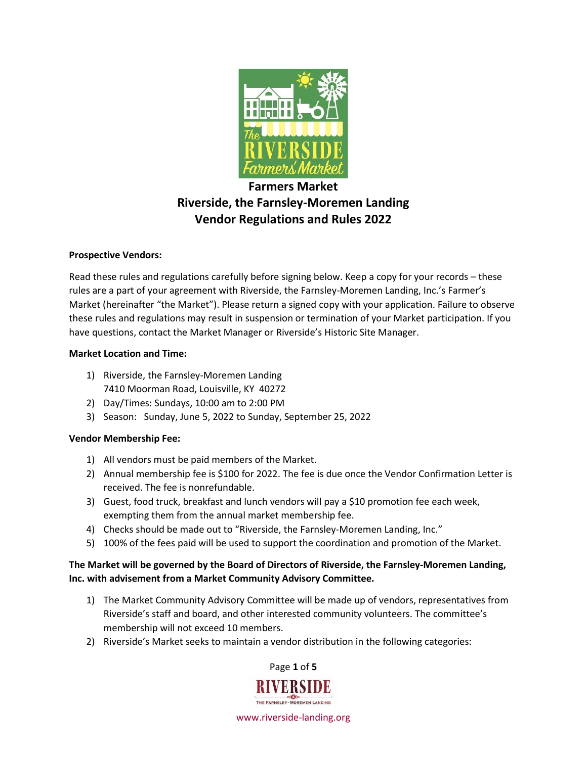

# **Farmers Market Riverside, the Farnsley-Moremen Landing Vendor Regulations and Rules 2022**

## **Prospective Vendors:**

Read these rules and regulations carefully before signing below. Keep a copy for your records – these rules are a part of your agreement with Riverside, the Farnsley-Moremen Landing, Inc.'s Farmer's Market (hereinafter "the Market"). Please return a signed copy with your application. Failure to observe these rules and regulations may result in suspension or termination of your Market participation. If you have questions, contact the Market Manager or Riverside's Historic Site Manager.

#### **Market Location and Time:**

- 1) Riverside, the Farnsley-Moremen Landing 7410 Moorman Road, Louisville, KY 40272
- 2) Day/Times: Sundays, 10:00 am to 2:00 PM
- 3) Season: Sunday, June 5, 2022 to Sunday, September 25, 2022

## **Vendor Membership Fee:**

- 1) All vendors must be paid members of the Market.
- 2) Annual membership fee is \$100 for 2022. The fee is due once the Vendor Confirmation Letter is received. The fee is nonrefundable.
- 3) Guest, food truck, breakfast and lunch vendors will pay a \$10 promotion fee each week, exempting them from the annual market membership fee.
- 4) Checks should be made out to "Riverside, the Farnsley-Moremen Landing, Inc."
- 5) 100% of the fees paid will be used to support the coordination and promotion of the Market.

## **The Market will be governed by the Board of Directors of Riverside, the Farnsley-Moremen Landing, Inc. with advisement from a Market Community Advisory Committee.**

- 1) The Market Community Advisory Committee will be made up of vendors, representatives from Riverside's staff and board, and other interested community volunteers. The committee's membership will not exceed 10 members.
- 2) Riverside's Market seeks to maintain a vendor distribution in the following categories:

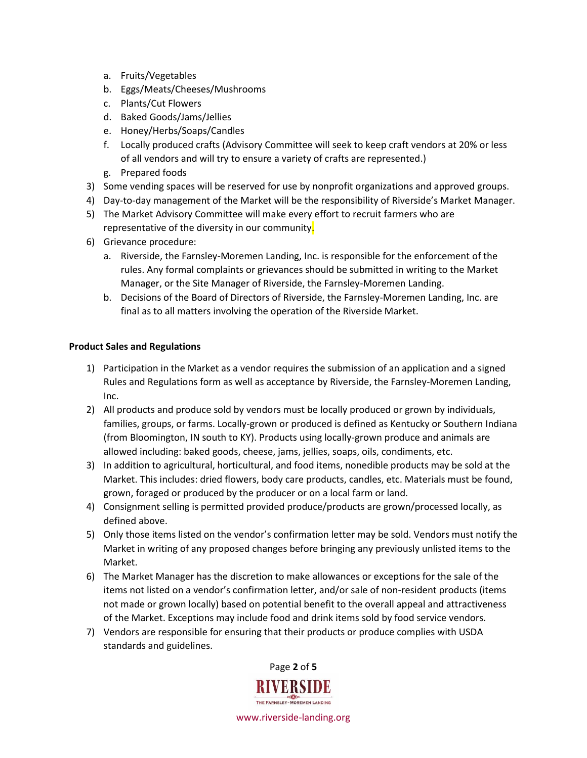- a. Fruits/Vegetables
- b. Eggs/Meats/Cheeses/Mushrooms
- c. Plants/Cut Flowers
- d. Baked Goods/Jams/Jellies
- e. Honey/Herbs/Soaps/Candles
- f. Locally produced crafts (Advisory Committee will seek to keep craft vendors at 20% or less of all vendors and will try to ensure a variety of crafts are represented.)
- g. Prepared foods
- 3) Some vending spaces will be reserved for use by nonprofit organizations and approved groups.
- 4) Day-to-day management of the Market will be the responsibility of Riverside's Market Manager.
- 5) The Market Advisory Committee will make every effort to recruit farmers who are representative of the diversity in our community.
- 6) Grievance procedure:
	- a. Riverside, the Farnsley-Moremen Landing, Inc. is responsible for the enforcement of the rules. Any formal complaints or grievances should be submitted in writing to the Market Manager, or the Site Manager of Riverside, the Farnsley-Moremen Landing.
	- b. Decisions of the Board of Directors of Riverside, the Farnsley-Moremen Landing, Inc. are final as to all matters involving the operation of the Riverside Market.

#### **Product Sales and Regulations**

- 1) Participation in the Market as a vendor requires the submission of an application and a signed Rules and Regulations form as well as acceptance by Riverside, the Farnsley-Moremen Landing, Inc.
- 2) All products and produce sold by vendors must be locally produced or grown by individuals, families, groups, or farms. Locally-grown or produced is defined as Kentucky or Southern Indiana (from Bloomington, IN south to KY). Products using locally-grown produce and animals are allowed including: baked goods, cheese, jams, jellies, soaps, oils, condiments, etc.
- 3) In addition to agricultural, horticultural, and food items, nonedible products may be sold at the Market. This includes: dried flowers, body care products, candles, etc. Materials must be found, grown, foraged or produced by the producer or on a local farm or land.
- 4) Consignment selling is permitted provided produce/products are grown/processed locally, as defined above.
- 5) Only those items listed on the vendor's confirmation letter may be sold. Vendors must notify the Market in writing of any proposed changes before bringing any previously unlisted items to the Market.
- 6) The Market Manager has the discretion to make allowances or exceptions for the sale of the items not listed on a vendor's confirmation letter, and/or sale of non-resident products (items not made or grown locally) based on potential benefit to the overall appeal and attractiveness of the Market. Exceptions may include food and drink items sold by food service vendors.
- 7) Vendors are responsible for ensuring that their products or produce complies with USDA standards and guidelines.

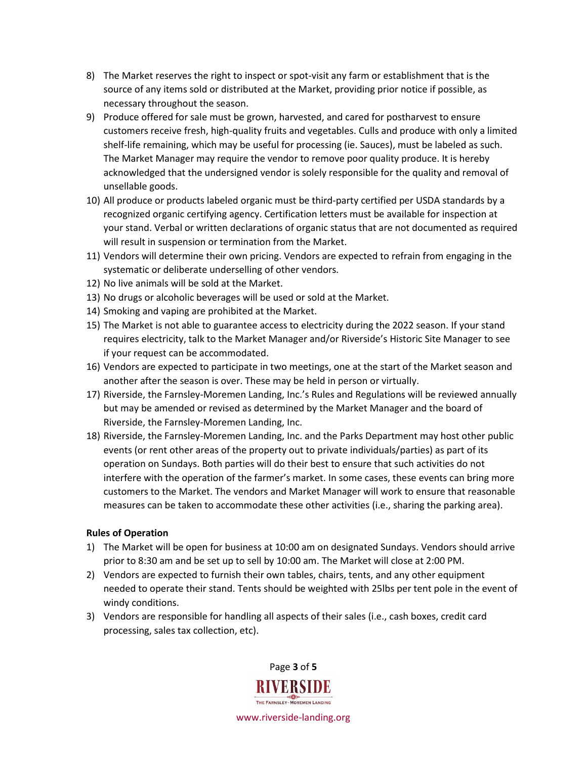- 8) The Market reserves the right to inspect or spot-visit any farm or establishment that is the source of any items sold or distributed at the Market, providing prior notice if possible, as necessary throughout the season.
- 9) Produce offered for sale must be grown, harvested, and cared for postharvest to ensure customers receive fresh, high-quality fruits and vegetables. Culls and produce with only a limited shelf-life remaining, which may be useful for processing (ie. Sauces), must be labeled as such. The Market Manager may require the vendor to remove poor quality produce. It is hereby acknowledged that the undersigned vendor is solely responsible for the quality and removal of unsellable goods.
- 10) All produce or products labeled organic must be third-party certified per USDA standards by a recognized organic certifying agency. Certification letters must be available for inspection at your stand. Verbal or written declarations of organic status that are not documented as required will result in suspension or termination from the Market.
- 11) Vendors will determine their own pricing. Vendors are expected to refrain from engaging in the systematic or deliberate underselling of other vendors.
- 12) No live animals will be sold at the Market.
- 13) No drugs or alcoholic beverages will be used or sold at the Market.
- 14) Smoking and vaping are prohibited at the Market.
- 15) The Market is not able to guarantee access to electricity during the 2022 season. If your stand requires electricity, talk to the Market Manager and/or Riverside's Historic Site Manager to see if your request can be accommodated.
- 16) Vendors are expected to participate in two meetings, one at the start of the Market season and another after the season is over. These may be held in person or virtually.
- 17) Riverside, the Farnsley-Moremen Landing, Inc.'s Rules and Regulations will be reviewed annually but may be amended or revised as determined by the Market Manager and the board of Riverside, the Farnsley-Moremen Landing, Inc.
- 18) Riverside, the Farnsley-Moremen Landing, Inc. and the Parks Department may host other public events (or rent other areas of the property out to private individuals/parties) as part of its operation on Sundays. Both parties will do their best to ensure that such activities do not interfere with the operation of the farmer's market. In some cases, these events can bring more customers to the Market. The vendors and Market Manager will work to ensure that reasonable measures can be taken to accommodate these other activities (i.e., sharing the parking area).

#### **Rules of Operation**

- 1) The Market will be open for business at 10:00 am on designated Sundays. Vendors should arrive prior to 8:30 am and be set up to sell by 10:00 am. The Market will close at 2:00 PM.
- 2) Vendors are expected to furnish their own tables, chairs, tents, and any other equipment needed to operate their stand. Tents should be weighted with 25lbs per tent pole in the event of windy conditions.
- 3) Vendors are responsible for handling all aspects of their sales (i.e., cash boxes, credit card processing, sales tax collection, etc).

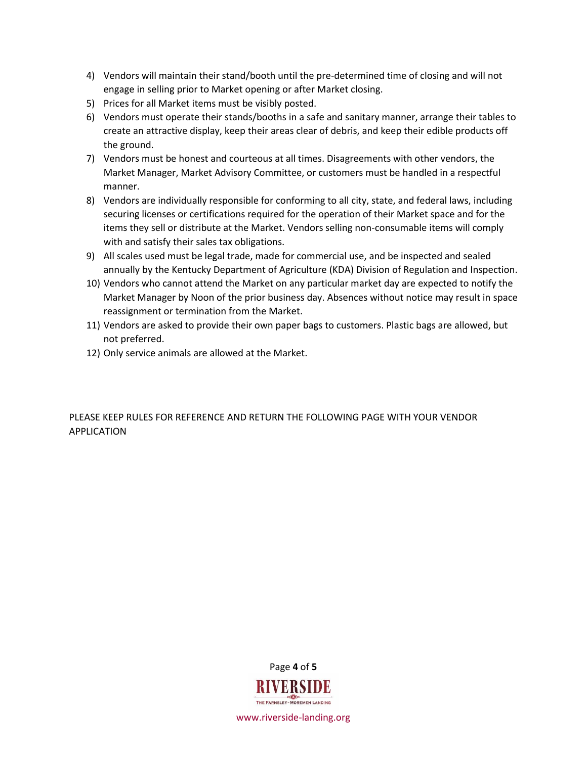- 4) Vendors will maintain their stand/booth until the pre-determined time of closing and will not engage in selling prior to Market opening or after Market closing.
- 5) Prices for all Market items must be visibly posted.
- 6) Vendors must operate their stands/booths in a safe and sanitary manner, arrange their tables to create an attractive display, keep their areas clear of debris, and keep their edible products off the ground.
- 7) Vendors must be honest and courteous at all times. Disagreements with other vendors, the Market Manager, Market Advisory Committee, or customers must be handled in a respectful manner.
- 8) Vendors are individually responsible for conforming to all city, state, and federal laws, including securing licenses or certifications required for the operation of their Market space and for the items they sell or distribute at the Market. Vendors selling non-consumable items will comply with and satisfy their sales tax obligations.
- 9) All scales used must be legal trade, made for commercial use, and be inspected and sealed annually by the Kentucky Department of Agriculture (KDA) Division of Regulation and Inspection.
- 10) Vendors who cannot attend the Market on any particular market day are expected to notify the Market Manager by Noon of the prior business day. Absences without notice may result in space reassignment or termination from the Market.
- 11) Vendors are asked to provide their own paper bags to customers. Plastic bags are allowed, but not preferred.
- 12) Only service animals are allowed at the Market.

PLEASE KEEP RULES FOR REFERENCE AND RETURN THE FOLLOWING PAGE WITH YOUR VENDOR APPLICATION